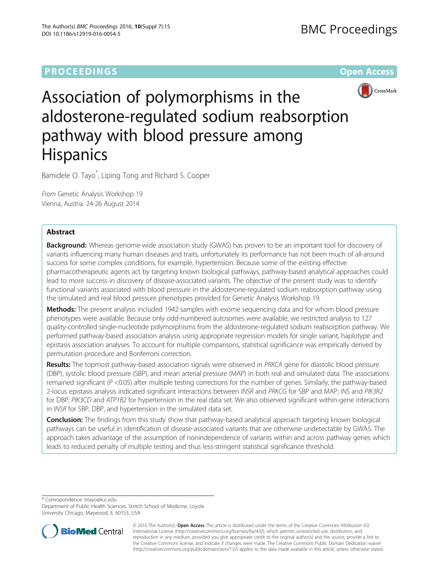# **PROCEEDINGS CONSUMING S** Open Access **CONSUMING S**



Association of polymorphisms in the aldosterone-regulated sodium reabsorption pathway with blood pressure among **Hispanics** 

Bamidele O. Tayo\* , Liping Tong and Richard S. Cooper

From Genetic Analysis Workshop 19 Vienna, Austria. 24-26 August 2014

# Abstract

Background: Whereas genome-wide association study (GWAS) has proven to be an important tool for discovery of variants influencing many human diseases and traits, unfortunately its performance has not been much of all-around success for some complex conditions, for example, hypertension. Because some of the existing effective pharmacotherapeutic agents act by targeting known biological pathways, pathway-based analytical approaches could lead to more success in discovery of disease-associated variants. The objective of the present study was to identify functional variants associated with blood pressure in the aldosterone-regulated sodium reabsorption pathway using the simulated and real blood pressure phenotypes provided for Genetic Analysis Workshop 19.

Methods: The present analysis included 1942 samples with exome sequencing data and for whom blood pressure phenotypes were available. Because only odd-numbered autosomes were available, we restricted analysis to 127 quality-controlled single-nucleotide polymorphisms from the aldosterone-regulated sodium reabsorption pathway. We performed pathway-based association analysis using appropriate regression models for single variant, haplotype and epistasis association analyses. To account for multiple comparisons, statistical significance was empirically derived by permutation procedure and Bonferroni correction.

Results: The topmost pathway-based association signals were observed in PRKCA gene for diastolic blood pressure (DBP), systolic blood pressure (SBP), and mean arterial pressure (MAP) in both real and simulated data. The associations remained significant ( $P < 0.05$ ) after multiple testing corrections for the number of genes. Similarly, the pathway-based 2-locus epistasis analysis indicated significant interactions between INSR and PRKCG for SBP and MAP; INS and PIK3R2 for DBP; PIK3CD and ATP1B2 for hypertension in the real data set. We also observed significant within-gene interactions in INSR for SBP, DBP, and hypertension in the simulated data set.

**Conclusion:** The findings from this study show that pathway-based analytical approach targeting known biological pathways can be useful in identification of disease-associated variants that are otherwise undetectable by GWAS. The approach takes advantage of the assumption of nonindependence of variants within and across pathway genes which leads to reduced penalty of multiple testing and thus less-stringent statistical significance threshold.

\* Correspondence: [btayo@luc.edu](mailto:btayo@luc.edu)

Department of Public Health Sciences, Stritch School of Medicine, Loyola University Chicago, Maywood, IL 60153, USA



© 2016 The Author(s). Open Access This article is distributed under the terms of the Creative Commons Attribution 4.0 International License [\(http://creativecommons.org/licenses/by/4.0/](http://creativecommons.org/licenses/by/4.0/)), which permits unrestricted use, distribution, and reproduction in any medium, provided you give appropriate credit to the original author(s) and the source, provide a link to the Creative Commons license, and indicate if changes were made. The Creative Commons Public Domain Dedication waiver [\(http://creativecommons.org/publicdomain/zero/1.0/](http://creativecommons.org/publicdomain/zero/1.0/)) applies to the data made available in this article, unless otherwise stated.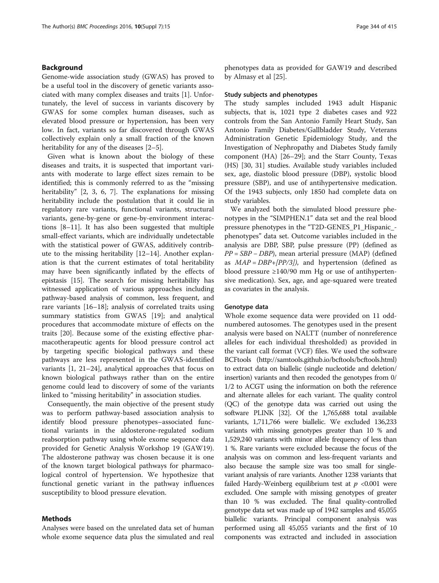### Background

Genome-wide association study (GWAS) has proved to be a useful tool in the discovery of genetic variants associated with many complex diseases and traits [[1](#page-4-0)]. Unfortunately, the level of success in variants discovery by GWAS for some complex human diseases, such as elevated blood pressure or hypertension, has been very low. In fact, variants so far discovered through GWAS collectively explain only a small fraction of the known heritability for any of the diseases [[2](#page-4-0)–[5](#page-5-0)].

Given what is known about the biology of these diseases and traits, it is suspected that important variants with moderate to large effect sizes remain to be identified; this is commonly referred to as the "missing heritability" [[2](#page-4-0), [3,](#page-4-0) [6, 7](#page-5-0)]. The explanations for missing heritability include the postulation that it could lie in regulatory rare variants, functional variants, structural variants, gene-by-gene or gene-by-environment interactions [[8](#page-5-0)–[11\]](#page-5-0). It has also been suggested that multiple small-effect variants, which are individually undetectable with the statistical power of GWAS, additively contribute to the missing heritability [[12](#page-5-0)–[14](#page-5-0)]. Another explanation is that the current estimates of total heritability may have been significantly inflated by the effects of epistasis [\[15](#page-5-0)]. The search for missing heritability has witnessed application of various approaches including pathway-based analysis of common, less frequent, and rare variants [\[16](#page-5-0)–[18\]](#page-5-0); analysis of correlated traits using summary statistics from GWAS [[19](#page-5-0)]; and analytical procedures that accommodate mixture of effects on the traits [[20\]](#page-5-0). Because some of the existing effective pharmacotherapeutic agents for blood pressure control act by targeting specific biological pathways and these pathways are less represented in the GWAS-identified variants [[1,](#page-4-0) [21](#page-5-0)–[24\]](#page-5-0), analytical approaches that focus on known biological pathways rather than on the entire genome could lead to discovery of some of the variants linked to "missing heritability" in association studies.

Consequently, the main objective of the present study was to perform pathway-based association analysis to identify blood pressure phenotypes–associated functional variants in the aldosterone-regulated sodium reabsorption pathway using whole exome sequence data provided for Genetic Analysis Workshop 19 (GAW19). The aldosterone pathway was chosen because it is one of the known target biological pathways for pharmacological control of hypertension. We hypothesize that functional genetic variant in the pathway influences susceptibility to blood pressure elevation.

### Methods

Analyses were based on the unrelated data set of human whole exome sequence data plus the simulated and real

phenotypes data as provided for GAW19 and described by Almasy et al [\[25\]](#page-5-0).

### Study subjects and phenotypes

The study samples included 1943 adult Hispanic subjects, that is, 1021 type 2 diabetes cases and 922 controls from the San Antonio Family Heart Study, San Antonio Family Diabetes/Gallbladder Study, Veterans Administration Genetic Epidemiology Study, and the Investigation of Nephropathy and Diabetes Study family component (HA) [[26](#page-5-0)–[29](#page-5-0)]; and the Starr County, Texas (HS) [[30](#page-5-0), [31](#page-5-0)] studies. Available study variables included sex, age, diastolic blood pressure (DBP), systolic blood pressure (SBP), and use of antihypertensive medication. Of the 1943 subjects, only 1850 had complete data on study variables.

We analyzed both the simulated blood pressure phenotypes in the "SIMPHEN.1" data set and the real blood pressure phenotypes in the "T2D-GENES\_P1\_Hispanic\_ phenotypes" data set. Outcome variables included in the analysis are DBP, SBP, pulse pressure (PP) (defined as PP = SBP – DBP), mean arterial pressure (MAP) (defined as  $MAP = DBP + [PP/3]$ , and hypertension (defined as blood pressure ≥140/90 mm Hg or use of antihypertensive medication). Sex, age, and age-squared were treated as covariates in the analysis.

### Genotype data

Whole exome sequence data were provided on 11 oddnumbered autosomes. The genotypes used in the present analysis were based on NALTT (number of nonreference alleles for each individual thresholded) as provided in the variant call format (VCF) files. We used the software BCFtools [\(http://samtools.github.io/bcftools/bcftools.html](http://samtools.github.io/bcftools/bcftools.html)) to extract data on biallelic (single nucleotide and deletion/ insertion) variants and then recoded the genotypes from 0/ 1/2 to ACGT using the information on both the reference and alternate alleles for each variant. The quality control (QC) of the genotype data was carried out using the software PLINK [\[32\]](#page-5-0). Of the 1,765,688 total available variants, 1,711,766 were biallelic. We excluded 136,233 variants with missing genotypes greater than 10 % and 1,529,240 variants with minor allele frequency of less than 1 %. Rare variants were excluded because the focus of the analysis was on common and less-frequent variants and also because the sample size was too small for singlevariant analysis of rare variants. Another 1238 variants that failed Hardy-Weinberg equilibrium test at  $p < 0.001$  were excluded. One sample with missing genotypes of greater than 10 % was excluded. The final quality-controlled genotype data set was made up of 1942 samples and 45,055 biallelic variants. Principal component analysis was performed using all 45,055 variants and the first of 10 components was extracted and included in association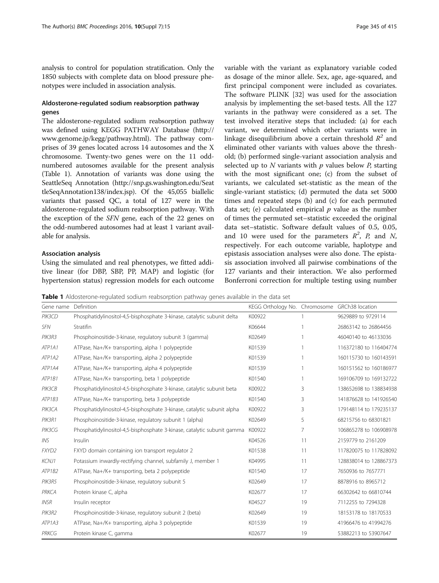analysis to control for population stratification. Only the 1850 subjects with complete data on blood pressure phenotypes were included in association analysis.

## Aldosterone-regulated sodium reabsorption pathway genes

The aldosterone-regulated sodium reabsorption pathway was defined using KEGG PATHWAY Database ([http://](http://www.genome.jp/kegg/pathway.html) [www.genome.jp/kegg/pathway.html\)](http://www.genome.jp/kegg/pathway.html). The pathway comprises of 39 genes located across 14 autosomes and the X chromosome. Twenty-two genes were on the 11 oddnumbered autosomes available for the present analysis (Table 1). Annotation of variants was done using the SeattleSeq Annotation ([http://snp.gs.washington.edu/Seat](http://snp.gs.washington.edu/SeattleSeqAnnotation138/index.jsp) [tleSeqAnnotation138/index.jsp\)](http://snp.gs.washington.edu/SeattleSeqAnnotation138/index.jsp). Of the 45,055 biallelic variants that passed QC, a total of 127 were in the aldosterone-regulated sodium reabsorption pathway. With the exception of the SFN gene, each of the 22 genes on the odd-numbered autosomes had at least 1 variant available for analysis.

### Association analysis

Using the simulated and real phenotypes, we fitted additive linear (for DBP, SBP, PP, MAP) and logistic (for hypertension status) regression models for each outcome variable with the variant as explanatory variable coded as dosage of the minor allele. Sex, age, age-squared, and first principal component were included as covariates. The software PLINK [\[32\]](#page-5-0) was used for the association analysis by implementing the set-based tests. All the 127 variants in the pathway were considered as a set. The test involved iterative steps that included: (a) for each variant, we determined which other variants were in linkage disequilibrium above a certain threshold  $R^2$  and eliminated other variants with values above the threshold; (b) performed single-variant association analysis and selected up to  $N$  variants with  $p$  values below  $P$ , starting with the most significant one; (c) from the subset of variants, we calculated set-statistic as the mean of the single-variant statistics; (d) permuted the data set 5000 times and repeated steps (b) and (c) for each permuted data set; (e) calculated empirical  $p$  value as the number of times the permuted set–statistic exceeded the original data set–statistic. Software default values of 0.5, 0.05, and 10 were used for the parameters  $R^2$ , P, and N, respectively. For each outcome variable, haplotype and epistasis association analyses were also done. The epistasis association involved all pairwise combinations of the 127 variants and their interaction. We also performed Bonferroni correction for multiple testing using number

**Table 1** Aldosterone-regulated sodium reabsorption pathway genes available in the data set

| Gene name                       | Definition                                                              | KEGG Orthology No. Chromosome GRCh38 location |    |                        |
|---------------------------------|-------------------------------------------------------------------------|-----------------------------------------------|----|------------------------|
| PIK3CD                          | Phosphatidylinositol-4,5-bisphosphate 3-kinase, catalytic subunit delta | K00922                                        |    | 9629889 to 9729114     |
| <b>SFN</b>                      | Stratifin                                                               | K06644                                        |    | 26863142 to 26864456   |
| PIK3R3                          | Phosphoinositide-3-kinase, regulatory subunit 3 (gamma)                 | K02649                                        |    | 46040140 to 46133036   |
| ATP <sub>1</sub> A <sub>1</sub> | ATPase, Na+/K+ transporting, alpha 1 polypeptide                        | K01539                                        |    | 116372180 to 116404774 |
| ATP <sub>1</sub> A <sub>2</sub> | ATPase, Na+/K+ transporting, alpha 2 polypeptide                        | K01539                                        |    | 160115730 to 160143591 |
| ATP <sub>1</sub> A4             | ATPase, Na+/K+ transporting, alpha 4 polypeptide                        | K01539                                        |    | 160151562 to 160186977 |
| ATP1B1                          | ATPase, Na+/K+ transporting, beta 1 polypeptide                         | K01540                                        |    | 169106709 to 169132722 |
| PIK3CB                          | Phosphatidylinositol-4,5-bisphosphate 3-kinase, catalytic subunit beta  | K00922                                        | 3  | 138652698 to 138834938 |
| ATP1B3                          | ATPase, Na+/K+ transporting, beta 3 polypeptide                         | K01540                                        | 3  | 141876628 to 141926540 |
| PIK3CA                          | Phosphatidylinositol-4,5-bisphosphate 3-kinase, catalytic subunit alpha | K00922                                        | 3  | 179148114 to 179235137 |
| PIK3R1                          | Phosphoinositide-3-kinase, regulatory subunit 1 (alpha)                 | K02649                                        | 5  | 68215756 to 68301821   |
| PIK3CG                          | Phosphatidylinositol-4,5-bisphosphate 3-kinase, catalytic subunit gamma | K00922                                        | 7  | 106865278 to 106908978 |
| INS                             | Insulin                                                                 | K04526                                        | 11 | 2159779 to 2161209     |
| <b>FXYD2</b>                    | FXYD domain containing ion transport regulator 2                        | K01538                                        | 11 | 117820075 to 117828092 |
| <b>KCNJ1</b>                    | Potassium inwardly-rectifying channel, subfamily J, member 1            | K04995                                        | 11 | 128838014 to 128867373 |
| ATP1B2                          | ATPase, Na+/K+ transporting, beta 2 polypeptide                         | K01540                                        | 17 | 7650936 to 7657771     |
| PIK3R5                          | Phosphoinositide-3-kinase, regulatory subunit 5                         | K02649                                        | 17 | 8878916 to 8965712     |
| PRKCA                           | Protein kinase C, alpha                                                 | K02677                                        | 17 | 66302642 to 66810744   |
| INSR                            | Insulin receptor                                                        | K04527                                        | 19 | 7112255 to 7294328     |
| PIK3R2                          | Phosphoinositide-3-kinase, regulatory subunit 2 (beta)                  | K02649                                        | 19 | 18153178 to 18170533   |
| ATP1A3                          | ATPase, Na+/K+ transporting, alpha 3 polypeptide                        | K01539                                        | 19 | 41966476 to 41994276   |
| PRKCG                           | Protein kinase C, gamma                                                 | K02677                                        | 19 | 53882213 to 53907647   |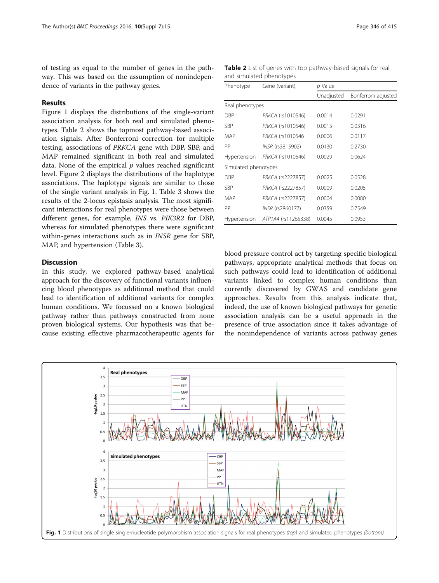of testing as equal to the number of genes in the pathway. This was based on the assumption of nonindependence of variants in the pathway genes.

### Results

Figure 1 displays the distributions of the single-variant association analysis for both real and simulated phenotypes. Table 2 shows the topmost pathway-based association signals. After Bonferroni correction for multiple testing, associations of PRKCA gene with DBP, SBP, and MAP remained significant in both real and simulated data. None of the empirical  $p$  values reached significant level. Figure [2](#page-4-0) displays the distributions of the haplotype associations. The haplotype signals are similar to those of the single variant analysis in Fig. 1. Table [3](#page-4-0) shows the results of the 2-locus epistasis analysis. The most significant interactions for real phenotypes were those between different genes, for example, INS vs. PIK3R2 for DBP, whereas for simulated phenotypes there were significant within-genes interactions such as in INSR gene for SBP, MAP, and hypertension (Table [3](#page-4-0)).

### **Discussion**

In this study, we explored pathway-based analytical approach for the discovery of functional variants influencing blood phenotypes as additional method that could lead to identification of additional variants for complex human conditions. We focussed on a known biological pathway rather than pathways constructed from none proven biological systems. Our hypothesis was that because existing effective pharmacotherapeutic agents for

Table 2 List of genes with top pathway-based signals for real and simulated phenotypes

| Phenotype            | Gene (variant)      | p Value    |                     |  |
|----------------------|---------------------|------------|---------------------|--|
|                      |                     | Unadjusted | Bonferroni adjusted |  |
| Real phenotypes      |                     |            |                     |  |
| DBP                  | PRKCA (rs1010546)   | 0.0014     | 0.0291              |  |
| <b>SBP</b>           | PRKCA (rs1010546)   | 0.0015     | 0.0316              |  |
| MAP                  | PRKCA (rs1010546    | 0.0006     | 0.0117              |  |
| РP                   | INSR (rs3815902)    | 0.0130     | 0.2730              |  |
| Hypertension         | PRKCA (rs1010546)   | 0.0029     | 0.0624              |  |
| Simulated phenotypes |                     |            |                     |  |
| DBP                  | PRKCA (rs2227857)   | 0.0025     | 0.0528              |  |
| <b>SBP</b>           | PRKCA (rs2227857)   | 0.0009     | 0.0205              |  |
| MAP                  | PRKCA (rs2227857)   | 0.0004     | 0.0080              |  |
| РP                   | INSR (rs2860177)    | 0.0359     | 0.7549              |  |
| Hypertension         | ATP1A4 (rs11265338) | 0.0045     | 0.0953              |  |

blood pressure control act by targeting specific biological pathways, appropriate analytical methods that focus on such pathways could lead to identification of additional variants linked to complex human conditions than currently discovered by GWAS and candidate gene approaches. Results from this analysis indicate that, indeed, the use of known biological pathways for genetic association analysis can be a useful approach in the presence of true association since it takes advantage of the nonindependence of variants across pathway genes

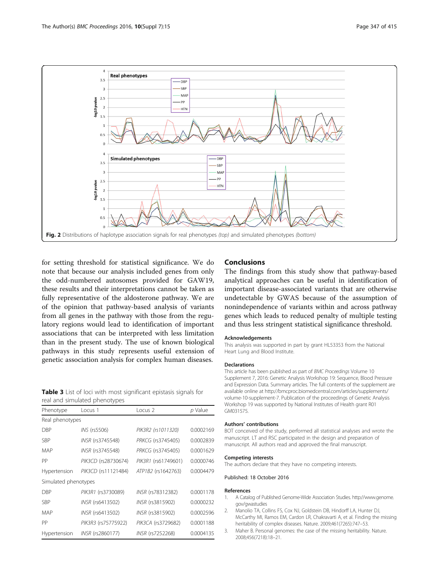<span id="page-4-0"></span>

for setting threshold for statistical significance. We do note that because our analysis included genes from only the odd-numbered autosomes provided for GAW19, these results and their interpretations cannot be taken as fully representative of the aldosterone pathway. We are of the opinion that pathway-based analysis of variants from all genes in the pathway with those from the regulatory regions would lead to identification of important associations that can be interpreted with less limitation than in the present study. The use of known biological pathways in this study represents useful extension of genetic association analysis for complex human diseases.

Table 3 List of loci with most significant epistasis signals for real and simulated phenotypes

| Phenotype            | Locus 1             | Locus <sub>2</sub>  | p Value   |  |  |  |
|----------------------|---------------------|---------------------|-----------|--|--|--|
| Real phenotypes      |                     |                     |           |  |  |  |
| <b>DBP</b>           | INS (rs5506)        | PIK3R2 (rs1011320)  | 0.0002169 |  |  |  |
| <b>SBP</b>           | INSR (rs3745548)    | PRKCG (rs3745405)   | 0.0002839 |  |  |  |
| MAP                  | INSR (rs3745548)    | PRKCG (rs3745405)   | 0.0001629 |  |  |  |
| PP                   | PIK3CD (rs28730674) | PIK3R1 (rs61749601) | 0.0000746 |  |  |  |
| Hypertension         | PIK3CD (rs11121484) | ATP1B2 (rs1642763)  | 0.0004479 |  |  |  |
| Simulated phenotypes |                     |                     |           |  |  |  |
| DBP                  | PIK3R1 (rs3730089)  | INSR (rs78312382)   | 0.0001178 |  |  |  |
| <b>SBP</b>           | INSR (rs6413502)    | INSR (rs3815902)    | 0.0000232 |  |  |  |
| MAP                  | INSR (rs6413502)    | INSR (rs3815902)    | 0.0002596 |  |  |  |
| PP                   | PIK3R3 (rs75775922) | PIK3CA (rs3729682)  | 0.0001188 |  |  |  |
| Hypertension         | INSR (rs2860177)    | INSR (rs7252268)    | 0.0004135 |  |  |  |

# Conclusions

The findings from this study show that pathway-based analytical approaches can be useful in identification of important disease-associated variants that are otherwise undetectable by GWAS because of the assumption of nonindependence of variants within and across pathway genes which leads to reduced penalty of multiple testing and thus less stringent statistical significance threshold.

#### Acknowledgements

This analysis was supported in part by grant HL53353 from the National Heart Lung and Blood Institute.

### **Declarations**

This article has been published as part of BMC Proceedings Volume 10 Supplement 7, 2016: Genetic Analysis Workshop 19: Sequence, Blood Pressure and Expression Data. Summary articles. The full contents of the supplement are available online at [http://bmcproc.biomedcentral.com/articles/supplements/](http://bmcproc.biomedcentral.com/articles/supplements/volume-10-supplement-7) [volume-10-supplement-7.](http://bmcproc.biomedcentral.com/articles/supplements/volume-10-supplement-7) Publication of the proceedings of Genetic Analysis Workshop 19 was supported by National Institutes of Health grant R01 GM031575.

#### Authors' contributions

BOT conceived of the study, performed all statistical analyses and wrote the manuscript. LT and RSC participated in the design and preparation of manuscript. All authors read and approved the final manuscript.

#### Competing interests

The authors declare that they have no competing interests.

### Published: 18 October 2016

#### References

- 1. A Catalog of Published Genome-Wide Association Studies. [http://www.genome.](http://www.genome.gov/gwastudies) [gov/gwastudies](http://www.genome.gov/gwastudies)
- 2. Manolio TA, Collins FS, Cox NJ, Goldstein DB, Hindorff LA, Hunter DJ, McCarthy MI, Ramos EM, Cardon LR, Chakravarti A, et al. Finding the missing heritability of complex diseases. Nature. 2009;461(7265):747–53.
- 3. Maher B. Personal genomes: the case of the missing heritability. Nature. 2008;456(7218):18–21.